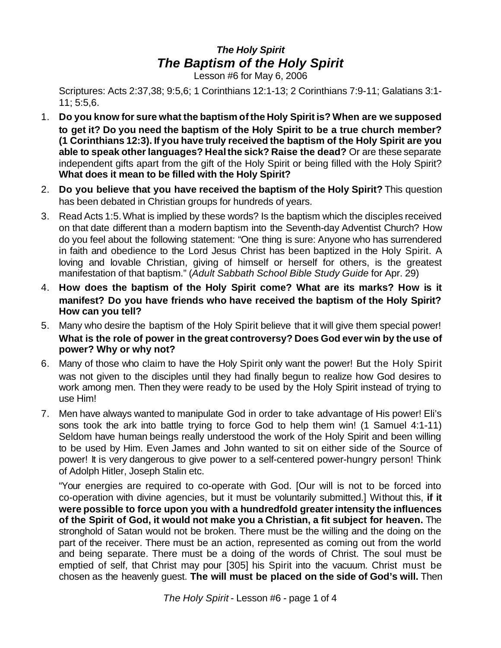## *The Holy Spirit The Baptism of the Holy Spirit*

Lesson #6 for May 6, 2006

Scriptures: Acts 2:37,38; 9:5,6; 1 Corinthians 12:1-13; 2 Corinthians 7:9-11; Galatians 3:1- 11; 5:5,6.

- 1. **Do you know for sure what the baptism ofthe Holy Spirit is? When are we supposed to get it? Do you need the baptism of the Holy Spirit to be a true church member? (1 Corinthians 12:3). If you have truly received the baptism of the Holy Spirit are you able to speak otherlanguages? Healthe sick? Raise the dead?** Or are these separate independent gifts apart from the gift of the Holy Spirit or being filled with the Holy Spirit? **What does it mean to be filled with the Holy Spirit?**
- 2. **Do you believe that you have received the baptism of the Holy Spirit?** This question has been debated in Christian groups for hundreds of years.
- 3. Read Acts 1:5.What is implied by these words? Is the baptism which the disciples received on that date different than a modern baptism into the Seventh-day Adventist Church? How do you feel about the following statement: "One thing is sure: Anyone who has surrendered in faith and obedience to the Lord Jesus Christ has been baptized in the Holy Spirit. A loving and lovable Christian, giving of himself or herself for others, is the greatest manifestation of that baptism." (*Adult Sabbath School Bible Study Guide* for Apr. 29)
- 4. **How does the baptism of the Holy Spirit come? What are its marks? How is it manifest? Do you have friends who have received the baptism of the Holy Spirit? How can you tell?**
- 5. Many who desire the baptism of the Holy Spirit believe that it will give them special power! **What is the role of power in the great controversy? Does God ever win by the use of power? Why or why not?**
- 6. Many of those who claim to have the Holy Spirit only want the power! But the Holy Spirit was not given to the disciples until they had finally begun to realize how God desires to work among men. Then they were ready to be used by the Holy Spirit instead of trying to use Him!
- 7. Men have always wanted to manipulate God in order to take advantage of His power! Eli's sons took the ark into battle trying to force God to help them win! (1 Samuel 4:1-11) Seldom have human beings really understood the work of the Holy Spirit and been willing to be used by Him. Even James and John wanted to sit on either side of the Source of power! It is very dangerous to give power to a self-centered power-hungry person! Think of Adolph Hitler, Joseph Stalin etc.

"Your energies are required to co-operate with God. [Our will is not to be forced into co-operation with divine agencies, but it must be voluntarily submitted.] Without this, **if it were possible to force upon you with a hundredfold greaterintensity the influences of the Spirit of God, it would not make you a Christian, a fit subject for heaven.** The stronghold of Satan would not be broken. There must be the willing and the doing on the part of the receiver. There must be an action, represented as coming out from the world and being separate. There must be a doing of the words of Christ. The soul must be emptied of self, that Christ may pour [305] his Spirit into the vacuum. Christ must be chosen as the heavenly guest. **The will must be placed on the side of God's will.** Then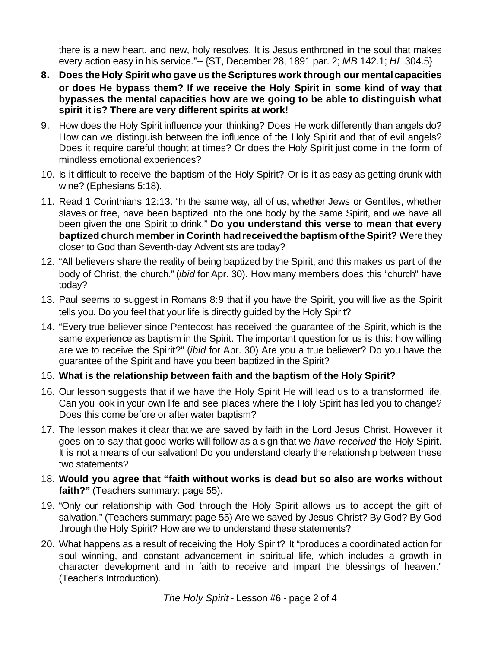there is a new heart, and new, holy resolves. It is Jesus enthroned in the soul that makes every action easy in his service."-- {ST, December 28, 1891 par. 2; *MB* 142.1; *HL* 304.5}

- **8. Does the Holy Spirit who gave us the Scriptures work through our mentalcapacities or does He bypass them? If we receive the Holy Spirit in some kind of way that bypasses the mental capacities how are we going to be able to distinguish what spirit it is? There are very different spirits at work!**
- 9. How does the Holy Spirit influence your thinking? Does He work differently than angels do? How can we distinguish between the influence of the Holy Spirit and that of evil angels? Does it require careful thought at times? Or does the Holy Spirit just come in the form of mindless emotional experiences?
- 10. Is it difficult to receive the baptism of the Holy Spirit? Or is it as easy as getting drunk with wine? (Ephesians 5:18).
- 11. Read 1 Corinthians 12:13. "In the same way, all of us, whether Jews or Gentiles, whether slaves or free, have been baptized into the one body by the same Spirit, and we have all been given the one Spirit to drink." **Do you understand this verse to mean that every baptized church memberin Corinth hadreceivedthe baptism ofthe Spirit?** Were they closer to God than Seventh-day Adventists are today?
- 12. "All believers share the reality of being baptized by the Spirit, and this makes us part of the body of Christ, the church." (*ibid* for Apr. 30). How many members does this "church" have today?
- 13. Paul seems to suggest in Romans 8:9 that if you have the Spirit, you will live as the Spirit tells you. Do you feel that your life is directly guided by the Holy Spirit?
- 14. "Every true believer since Pentecost has received the guarantee of the Spirit, which is the same experience as baptism in the Spirit. The important question for us is this: how willing are we to receive the Spirit?" (*ibid* for Apr. 30) Are you a true believer? Do you have the guarantee of the Spirit and have you been baptized in the Spirit?
- 15. **What is the relationship between faith and the baptism of the Holy Spirit?**
- 16. Our lesson suggests that if we have the Holy Spirit He will lead us to a transformed life. Can you look in your own life and see places where the Holy Spirit has led you to change? Does this come before or after water baptism?
- 17. The lesson makes it clear that we are saved by faith in the Lord Jesus Christ. However it goes on to say that good works will follow as a sign that we *have received* the Holy Spirit. It is not a means of our salvation! Do you understand clearly the relationship between these two statements?
- 18. **Would you agree that "faith without works is dead but so also are works without faith?"** (Teachers summary: page 55).
- 19. "Only our relationship with God through the Holy Spirit allows us to accept the gift of salvation." (Teachers summary: page 55) Are we saved by Jesus Christ? By God? By God through the Holy Spirit? How are we to understand these statements?
- 20. What happens as a result of receiving the Holy Spirit? It "produces a coordinated action for soul winning, and constant advancement in spiritual life, which includes a growth in character development and in faith to receive and impart the blessings of heaven." (Teacher's Introduction).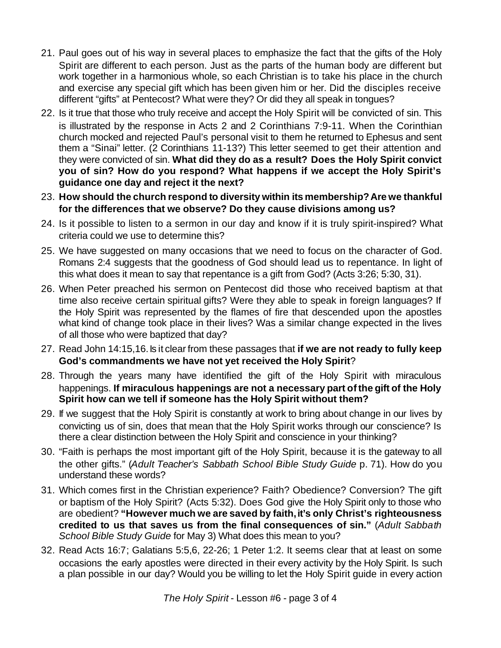- 21. Paul goes out of his way in several places to emphasize the fact that the gifts of the Holy Spirit are different to each person. Just as the parts of the human body are different but work together in a harmonious whole, so each Christian is to take his place in the church and exercise any special gift which has been given him or her. Did the disciples receive different "gifts" at Pentecost? What were they? Or did they all speak in tongues?
- 22. Is it true that those who truly receive and accept the Holy Spirit will be convicted of sin. This is illustrated by the response in Acts 2 and 2 Corinthians 7:9-11. When the Corinthian church mocked and rejected Paul's personal visit to them he returned to Ephesus and sent them a "Sinai" letter. (2 Corinthians 11-13?) This letter seemed to get their attention and they were convicted of sin. **What did they do as a result? Does the Holy Spirit convict you of sin? How do you respond? What happens if we accept the Holy Spirit's guidance one day and reject it the next?**
- 23. **How should the church respond to diversity within its membership?Are we thankful for the differences that we observe? Do they cause divisions among us?**
- 24. Is it possible to listen to a sermon in our day and know if it is truly spirit-inspired? What criteria could we use to determine this?
- 25. We have suggested on many occasions that we need to focus on the character of God. Romans 2:4 suggests that the goodness of God should lead us to repentance. In light of this what does it mean to say that repentance is a gift from God? (Acts 3:26; 5:30, 31).
- 26. When Peter preached his sermon on Pentecost did those who received baptism at that time also receive certain spiritual gifts? Were they able to speak in foreign languages? If the Holy Spirit was represented by the flames of fire that descended upon the apostles what kind of change took place in their lives? Was a similar change expected in the lives of all those who were baptized that day?
- 27. Read John 14:15,16.Is it clear from these passages that **if we are not ready to fully keep God's commandments we have not yet received the Holy Spirit**?
- 28. Through the years many have identified the gift of the Holy Spirit with miraculous happenings. **If miraculous happenings are not a necessary part ofthe gift of the Holy Spirit how can we tell if someone has the Holy Spirit without them?**
- 29. If we suggest that the Holy Spirit is constantly at work to bring about change in our lives by convicting us of sin, does that mean that the Holy Spirit works through our conscience? Is there a clear distinction between the Holy Spirit and conscience in your thinking?
- 30. "Faith is perhaps the most important gift of the Holy Spirit, because it is the gateway to all the other gifts." (*Adult Teacher's Sabbath School Bible Study Guide* p. 71). How do you understand these words?
- 31. Which comes first in the Christian experience? Faith? Obedience? Conversion? The gift or baptism of the Holy Spirit? (Acts 5:32). Does God give the Holy Spirit only to those who are obedient? **"However much we are saved by faith,it's only Christ's righteousness credited to us that saves us from the final consequences of sin."** (*Adult Sabbath School Bible Study Guide* for May 3) What does this mean to you?
- 32. Read Acts 16:7; Galatians 5:5,6, 22-26; 1 Peter 1:2. It seems clear that at least on some occasions the early apostles were directed in their every activity by the Holy Spirit. Is such a plan possible in our day? Would you be willing to let the Holy Spirit guide in every action